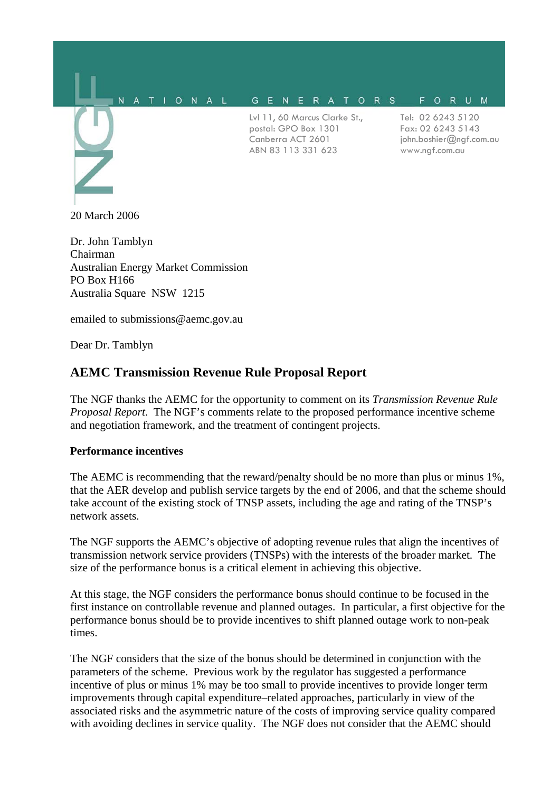#### N A T I O N A L G E N E R A T O R S FORUM

Lvl 11, 60 Marcus Clarke St., postal: GPO Box 1301 Canberra ACT 2601 ABN 83 113 331 623

Tel: 02 6243 5120 Fax: 02 6243 5143 john.boshier@ngf.com.au www.ngf.com.au

20 March 2006

Dr. John Tamblyn Chairman Australian Energy Market Commission PO Box H166 Australia Square NSW 1215

emailed to submissions@aemc.gov.au

Dear Dr. Tamblyn

# **AEMC Transmission Revenue Rule Proposal Report**

The NGF thanks the AEMC for the opportunity to comment on its *Transmission Revenue Rule Proposal Report*. The NGF's comments relate to the proposed performance incentive scheme and negotiation framework, and the treatment of contingent projects.

### **Performance incentives**

The AEMC is recommending that the reward/penalty should be no more than plus or minus 1%, that the AER develop and publish service targets by the end of 2006, and that the scheme should take account of the existing stock of TNSP assets, including the age and rating of the TNSP's network assets.

The NGF supports the AEMC's objective of adopting revenue rules that align the incentives of transmission network service providers (TNSPs) with the interests of the broader market. The size of the performance bonus is a critical element in achieving this objective.

At this stage, the NGF considers the performance bonus should continue to be focused in the first instance on controllable revenue and planned outages. In particular, a first objective for the performance bonus should be to provide incentives to shift planned outage work to non-peak times.

The NGF considers that the size of the bonus should be determined in conjunction with the parameters of the scheme. Previous work by the regulator has suggested a performance incentive of plus or minus 1% may be too small to provide incentives to provide longer term improvements through capital expenditure–related approaches, particularly in view of the associated risks and the asymmetric nature of the costs of improving service quality compared with avoiding declines in service quality. The NGF does not consider that the AEMC should